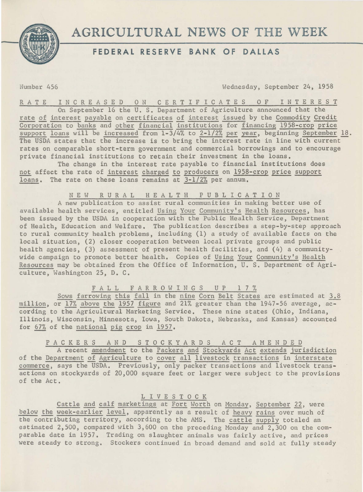



## FEDERAL RESERVE BANK OF DALLAS

Number 456 Wednesday, September 24, 1958

RATE INCREASED ON CERTIFICATES OF INTEREST On September 16 the U. s. Department of Agriculture announced that the rate of interest payable on certificates of interest issued by the Commodity Credit

Corporation to banks and other financial institutions for financing 1958-crop price support loans will be increased from  $1-3/4\%$  to  $2-1/2\%$  per year, beginning September 18. The USDA states that the increase is to bring the interest rate in line with current rates on comparable short-term government and commercial borrowings and to encourage private financial institutions to retain their investment in the loans.

The change in the interest rate payable to financial institutions does not affect the rate of interest charged to producers on 1958-crop price support loans. The rate on these loans remains at 3-1/2% per annum.

NEW RURAL HEALTH PUBLICATION

A new publication to assist rural communities in making better use of available health services, entitled Using Your Community's Health Resources, has been issued by the USDA in cooperation with the Public Health Service, Department of Health, Education and Welfare. The publication describes a step-by-step approach to rural community health problems, including (1) a study of available facts on the local situation, (2) closer cooperation between local private groups and public health agencies, (3) assessment of present health facilities, and (4) a communitywide campaign to promote better health. Copies of Using Your Community's Health Resources may be obtained from the Office of Information, U. s. Department of Agriculture, Washington 25, D. C.

FALL FARROWINGS UP 17%

Sows farrowing this fall in the nine Corn Belt States are estimated at 3.8 million, or 17% above the 1957 figure and 21% greater than the 1947-56 average, according to the Agricultural Marketing Service. These nine states (Ohio, Indiana, Illinois, Wisconsin, Minnesota, Iowa, South Dakota, Nebraska, and Kansas) accounted for  $67%$  of the national pig crop in 1957.

PACKERS AND STOCKYARDS ACT AMENDED

A recent amendment to the Packers and Stockyards Act extends jurisdiction of the Department of Agriculture to cover all livestock transactions in interstate commerce, says the USDA. Previously, only packer transactions and livestock transactions on stockyards of 20,000 square feet or larger were subject to the provisions of the Act.

L I V E S T 0 C K

Cattle and calf marketings at Fort Worth on Monday, September 22, were below the week-earlier level, apparently as a result of heavy rains over much of the contributing territory, according to the AMS. The cattle supply totaled an estimated 2,500, compared with 3,600 on the preceding Monday and 2,300 on the comparable date in 1957. Trading on slaughter animals was fairly active, and prices were steady to strong. Stockers continued in broad demand and sold at fully steady